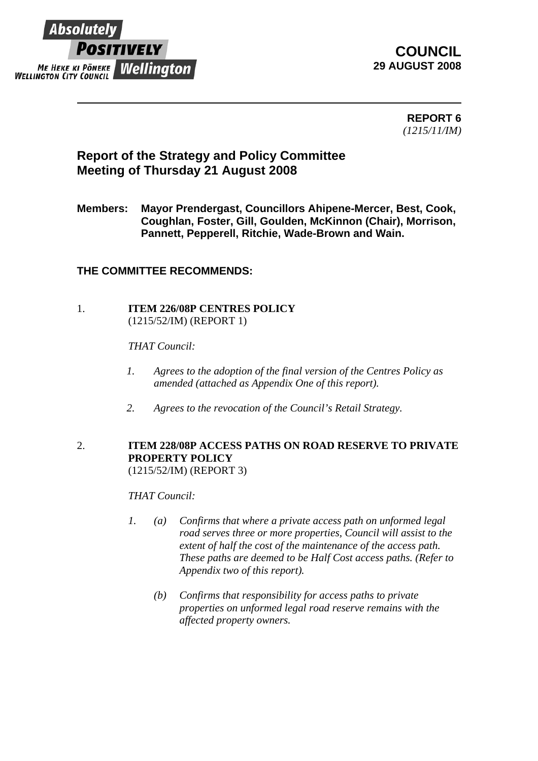

# **COUNCIL 29 AUGUST 2008**

**REPORT 6**  *(1215/11/IM)* 

# **Report of the Strategy and Policy Committee Meeting of Thursday 21 August 2008**

**Members: Mayor Prendergast, Councillors Ahipene-Mercer, Best, Cook, Coughlan, Foster, Gill, Goulden, McKinnon (Chair), Morrison, Pannett, Pepperell, Ritchie, Wade-Brown and Wain.** 

## **THE COMMITTEE RECOMMENDS:**

## 1. **ITEM 226/08P CENTRES POLICY** (1215/52/IM) (REPORT 1)

### *THAT Council:*

- *1. Agrees to the adoption of the final version of the Centres Policy as amended (attached as Appendix One of this report).*
- *2. Agrees to the revocation of the Council's Retail Strategy.*

#### 2. **ITEM 228/08P ACCESS PATHS ON ROAD RESERVE TO PRIVATE PROPERTY POLICY** (1215/52/IM) (REPORT 3)

 *THAT Council:* 

- *1. (a) Confirms that where a private access path on unformed legal road serves three or more properties, Council will assist to the extent of half the cost of the maintenance of the access path. These paths are deemed to be Half Cost access paths. (Refer to Appendix two of this report).* 
	- *(b) Confirms that responsibility for access paths to private properties on unformed legal road reserve remains with the affected property owners.*